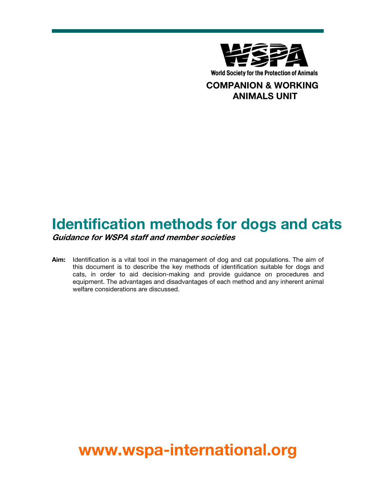

## COMPANION & WORKING ANIMALS UNIT

# Identification methods for dogs and cats

Guidance for WSPA staff and member societies

Aim: Identification is a vital tool in the management of dog and cat populations. The aim of this document is to describe the key methods of identification suitable for dogs and cats, in order to aid decision-making and provide guidance on procedures and equipment. The advantages and disadvantages of each method and any inherent animal welfare considerations are discussed.

# www.wspa-international.org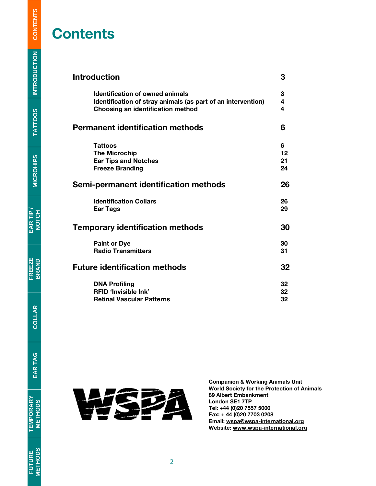# **Contents**

| <b>Introduction</b>                                                                                                                                | 3           |
|----------------------------------------------------------------------------------------------------------------------------------------------------|-------------|
| <b>Identification of owned animals</b><br>Identification of stray animals (as part of an intervention)<br><b>Choosing an identification method</b> | 3<br>4<br>4 |
| <b>Permanent identification methods</b>                                                                                                            | 6           |
| <b>Tattoos</b>                                                                                                                                     | 6           |
| <b>The Microchip</b>                                                                                                                               | 12          |
| <b>Ear Tips and Notches</b>                                                                                                                        | 21          |
| <b>Freeze Branding</b>                                                                                                                             | 24          |
| Semi-permanent identification methods                                                                                                              | 26          |
| <b>Identification Collars</b>                                                                                                                      | 26          |
| <b>Ear Tags</b>                                                                                                                                    | 29          |
| <b>Temporary identification methods</b>                                                                                                            | 30          |
| <b>Paint or Dye</b>                                                                                                                                | 30          |
| <b>Radio Transmitters</b>                                                                                                                          | 31          |
| <b>Future identification methods</b>                                                                                                               | 32          |
| <b>DNA Profiling</b>                                                                                                                               | 32          |
| <b>RFID 'Invisible Ink'</b>                                                                                                                        | 32          |
| <b>Retinal Vascular Patterns</b>                                                                                                                   | 32          |



Companion & Working Animals Unit World Society for the Protection of Animals 89 Albert Embankment London SE1 7TP Tel: +44 (0)20 7557 5000 Fax: + 44 (0)20 7703 0208 Email: wspa@wspa-international.org Website: www.wspa-international.org

**TATTOOS**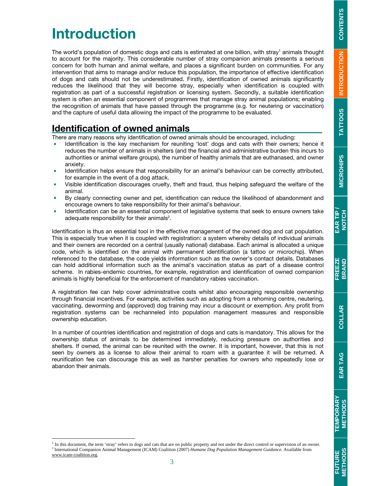# **EAR TIP / NOTCH FREEZE BRAND EAR TAG TEMPORARY METHODS FUTURE METHODS COLLARFUTURE**<br>METHODS

# Introduction

-

The world's population of domestic dogs and cats is estimated at one billion, with stray<sup>1</sup> animals thought to account for the majority. This considerable number of stray companion animals presents a serious concern for both human and animal welfare, and places a significant burden on communities. For any intervention that aims to manage and/or reduce this population, the importance of effective identification of dogs and cats should not be underestimated. Firstly, identification of owned animals significantly reduces the likelihood that they will become stray, especially when identification is coupled with registration as part of a successful registration or licensing system. Secondly, a suitable identification system is often an essential component of programmes that manage stray animal populations; enabling the recognition of animals that have passed through the programme (e.g. for neutering or vaccination) and the capture of useful data allowing the impact of the programme to be evaluated.

## Identification of owned animals

There are many reasons why identification of owned animals should be encouraged, including:

- Identification is the key mechanism for reuniting 'lost' dogs and cats with their owners; hence it reduces the number of animals in shelters (and the financial and administrative burden this incurs to authorities or animal welfare groups), the number of healthy animals that are euthanased, and owner anxiety.
- Identification helps ensure that responsibility for an animal's behaviour can be correctly attributed, for example in the event of a dog attack.
- Visible identification discourages cruelty, theft and fraud, thus helping safeguard the welfare of the animal.
- By clearly connecting owner and pet, identification can reduce the likelihood of abandonment and encourage owners to take responsibility for their animal's behaviour.
- Identification can be an essential component of legislative systems that seek to ensure owners take adequate responsibility for their animals<sup>2</sup>.

Identification is thus an essential tool in the effective management of the owned dog and cat population. This is especially true when it is coupled with registration: a system whereby details of individual animals and their owners are recorded on a central (usually national) database. Each animal is allocated a unique code, which is identified on the animal with permanent identification (a tattoo or microchip). When referenced to the database, the code yields information such as the owner's contact details. Databases can hold additional information such as the animal's vaccination status as part of a disease control scheme. In rabies-endemic countries, for example, registration and identification of owned companion animals is highly beneficial for the enforcement of mandatory rabies vaccination.

A registration fee can help cover administrative costs whilst also encouraging responsible ownership through financial incentives. For example, activities such as adopting from a rehoming centre, neutering, vaccinating, deworming and (approved) dog training may incur a discount or exemption. Any profit from registration systems can be rechanneled into population management measures and responsible ownership education.

In a number of countries identification and registration of dogs and cats is mandatory. This allows for the ownership status of animals to be determined immediately, reducing pressure on authorities and shelters. If owned, the animal can be reunited with the owner. It is important, however, that this is not seen by owners as a license to allow their animal to roam with a guarantee it will be returned. A reunification fee can discourage this as well as harsher penalties for owners who repeatedly lose or abandon their animals.

In this document, the term 'stray' refers to dogs and cats that are on public property and not under the direct control or supervision of an owner. 2 International Companion Animal Management (ICAM) Coalition (2007) *Humane Dog Population Management Guidance*. Available from www.icam-coalition.org.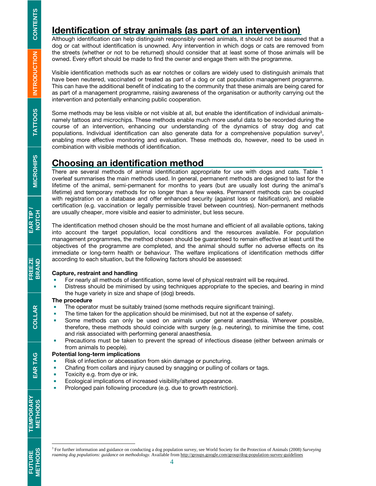## Identification of stray animals (as part of an intervention)

Although identification can help distinguish responsibly owned animals, it should not be assumed that a dog or cat without identification is unowned. Any intervention in which dogs or cats are removed from the streets (whether or not to be returned) should consider that at least some of those animals will be owned. Every effort should be made to find the owner and engage them with the programme.

Visible identification methods such as ear notches or collars are widely used to distinguish animals that have been neutered, vaccinated or treated as part of a dog or cat population management programme. This can have the additional benefit of indicating to the community that these animals are being cared for as part of a management programme, raising awareness of the organisation or authority carrying out the intervention and potentially enhancing public cooperation.

Some methods may be less visible or not visible at all, but enable the identification of individual animalsnamely tattoos and microchips. These methods enable much more useful data to be recorded during the course of an intervention, enhancing our understanding of the dynamics of stray dog and cat populations. Individual identification can also generate data for a comprehensive population survey<sup>3</sup>, enabling more effective monitoring and evaluation. These methods do, however, need to be used in combination with visible methods of identification.

#### Choosing an identification method

There are several methods of animal identification appropriate for use with dogs and cats. Table 1 overleaf summarises the main methods used. In general, permanent methods are designed to last for the lifetime of the animal, semi-permanent for months to years (but are usually lost during the animal's lifetime) and temporary methods for no longer than a few weeks. Permanent methods can be coupled with registration on a database and offer enhanced security (against loss or falsification), and reliable certification (e.g. vaccination or legally permissible travel between countries). Non-permanent methods are usually cheaper, more visible and easier to administer, but less secure.

The identification method chosen should be the most humane and efficient of all available options, taking into account the target population, local conditions and the resources available. For population management programmes, the method chosen should be guaranteed to remain effective at least until the objectives of the programme are completed, and the animal should suffer no adverse effects on its immediate or long-term health or behaviour. The welfare implications of identification methods differ according to each situation, but the following factors should be assessed:

#### Capture, restraint and handling

- **For nearly all methods of identification, some level of physical restraint will be required.**
- **•** Distress should be minimised by using techniques appropriate to the species, and bearing in mind the huge variety in size and shape of (dog) breeds.

#### The procedure

- **The operator must be suitably trained (some methods require significant training).**
- The time taken for the application should be minimised, but not at the expense of safety.
- **Some methods can only be used on animals under general anaesthesia. Wherever possible,** therefore, these methods should coincide with surgery (e.g. neutering), to minimise the time, cost and risk associated with performing general anaesthesia.
- **Precautions must be taken to prevent the spread of infectious disease (either between animals or** from animals to people).

#### Potential long-term implications

- **Risk of infection or abcessation from skin damage or puncturing.**
- **•** Chafing from collars and injury caused by snagging or pulling of collars or tags.
- **Toxicity e.g. from dye or ink.**
- **Ecological implications of increased visibility/altered appearance.**
- **Prolonged pain following procedure (e.g. due to growth restriction).**

**TATTOOS** 

COLLAR

FUTURE TEMPORARY EAR $\tau$ AG | COLLAR | FREEZE BARTIP*I*<br>METHODS METHODS EAR **FUTURE**<br>METHODS

**TEMPORARY<br>METHODS** 

-

<sup>3</sup> For further information and guidance on conducting a dog population survey, see World Society for the Protection of Animals (2008) *Surveying roaming dog populations: guidance on methodology.* Available from http://groups.google.com/group/dog-population-survey-guidelines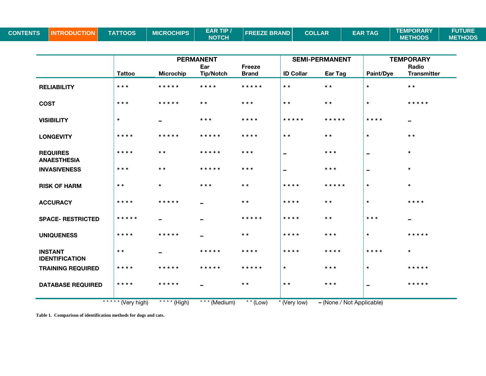| <b>CONTENTS</b> | II INTI | <b>TATTOOS</b> | <b>MICROCHIPS</b> | <b>EAR TIP /</b> | <b>LEREEZE BRAND I</b> | <b>COLLAR</b> | <b>EAR TAG</b> | <b>TEMPORARY</b> | <b>FUTURE</b>  |
|-----------------|---------|----------------|-------------------|------------------|------------------------|---------------|----------------|------------------|----------------|
|                 |         |                |                   | <b>NOTCH</b>     |                        |               |                | <b>METHODS</b>   | <b>METHODS</b> |

|                                         | <b>PERMANENT</b>  |                              |                          |                 | <b>SEMI-PERMANENT</b>    |                           | <b>TEMPORARY</b>         |                          |
|-----------------------------------------|-------------------|------------------------------|--------------------------|-----------------|--------------------------|---------------------------|--------------------------|--------------------------|
|                                         |                   |                              | Ear                      | <b>Freeze</b>   |                          |                           |                          | Radio                    |
|                                         | <b>Tattoo</b>     | <b>Microchip</b>             | <b>Tip/Notch</b>         | <b>Brand</b>    | <b>ID Collar</b>         | Ear Tag                   | Paint/Dye                | <b>Transmitter</b>       |
| <b>RELIABILITY</b>                      | $***$             | * * * * *                    | ****                     | *****           | $* *$                    | $* *$                     | $\star$                  | $\star$ $\star$          |
| <b>COST</b>                             | $***$             | * * * * *                    | $\star$ $\star$          | $***$           | $\star$ $\star$          | $\star$ $\star$           | $\star$                  | * * * * *                |
| <b>VISIBILITY</b>                       | $\star$           | $\overline{\phantom{0}}$     | $***$                    | * * * *         | * * * * *                | * * * * *                 | * * * *                  | $\overline{\phantom{m}}$ |
| <b>LONGEVITY</b>                        | * * * *           | * * * * *                    | *****                    | * * * *         | $* *$                    | $\star$ $\star$           | $\star$                  | $\star$ $\star$          |
| <b>REQUIRES</b><br><b>ANAESTHESIA</b>   | * * * *           | $* *$                        | *****                    | * * *           | $\overline{\phantom{0}}$ | $* * *$                   | $\overline{\phantom{a}}$ | $\star$                  |
| <b>INVASIVENESS</b>                     | $***$             | $\star$ $\star$              | *****                    | * * *           | $\overline{\phantom{0}}$ | * * *                     | $\overline{\phantom{a}}$ | $\star$                  |
| <b>RISK OF HARM</b>                     | $\star$ $\star$   | $\star$                      | $***$                    | $\star$ $\star$ | * * * *                  | * * * * *                 | $\star$                  | $\star$                  |
| <b>ACCURACY</b>                         | * * * *           | * * * * *                    | $\overline{\phantom{0}}$ | $\star\star$    | * * * *                  | $\star$ $\star$           | $\star$                  | * * * *                  |
| <b>SPACE- RESTRICTED</b>                | * * * * *         | $\overline{\phantom{0}}$     | $\overline{\phantom{0}}$ | *****           | * * * *                  | $* *$                     | $* * *$                  | $\overline{\phantom{m}}$ |
| <b>UNIQUENESS</b>                       | * * * *           | * * * * *                    |                          | $\star$ $\star$ | * * * *                  | $* * *$                   | $\star$                  | * * * * *                |
| <b>INSTANT</b><br><b>IDENTIFICATION</b> | $\star$ $\star$   |                              | * * * * *                | ****            | * * * *                  | * * * *                   | * * * *                  | $\star$                  |
| <b>TRAINING REQUIRED</b>                | * * * *           | * * * * *                    | * * * * *                | * * * * *       | $\star$                  | $* * *$                   | $\star$                  | * * * * *                |
| <b>DATABASE REQUIRED</b>                | * * * *           | * * * * *                    |                          | $\star$ $\star$ | $\star$ $\star$          | $***$                     | $\overline{\phantom{a}}$ | * * * * *                |
|                                         | ***** (Very high) | $\overline{**}$ * * * (High) | * * * (Medium)           | $*$ * (Low)     | * (Very low)             | - (None / Not Applicable) |                          |                          |

**Table 1. Comparison of identification methods for dogs and cats.**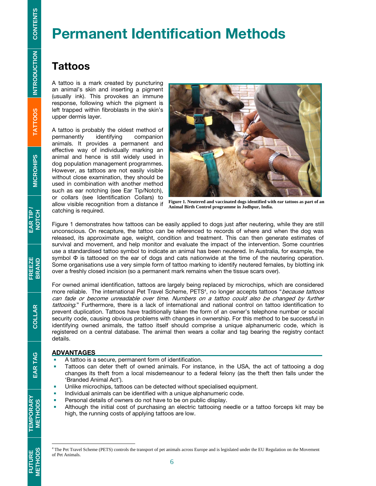# Permanent Identification Methods

## **Tattoos**

A tattoo is a mark created by puncturing an animal's skin and inserting a pigment (usually ink). This provokes an immune response, following which the pigment is left trapped within fibroblasts in the skin's upper dermis layer.

A tattoo is probably the oldest method of<br>permanently identifying companion permanently identifying animals. It provides a permanent and effective way of individually marking an animal and hence is still widely used in dog population management programmes. However, as tattoos are not easily visible without close examination, they should be used in combination with another method such as ear notching (see Ear Tip/Notch), or collars (see Identification Collars) to allow visible recognition from a distance if catching is required.



**Figure 1. Neutered and vaccinated dogs identified with ear tattoos as part of an Animal Birth Control programme in Jodhpur, India.** 

Figure 1 demonstrates how tattoos can be easily applied to dogs just after neutering, while they are still unconscious. On recapture, the tattoo can be referenced to records of where and when the dog was released, its approximate age, weight, condition and treatment. This can then generate estimates of survival and movement, and help monitor and evaluate the impact of the intervention. Some countries use a standardised tattoo symbol to indicate an animal has been neutered. In Australia, for example, the symbol Φ is tattooed on the ear of dogs and cats nationwide at the time of the neutering operation. Some organisations use a very simple form of tattoo marking to identify neutered females, by blotting ink over a freshly closed incision (so a permanent mark remains when the tissue scars over).

For owned animal identification, tattoos are largely being replaced by microchips, which are considered more reliable. The international Pet Travel Scheme, PETS<sup>4</sup>, no longer accepts tattoos "*because tattoos* can fade or become unreadable over time. Numbers on a tattoo could also be changed by further tattooing." Furthermore, there is a lack of international and national control on tattoo identification to prevent duplication. Tattoos have traditionally taken the form of an owner's telephone number or social security code, causing obvious problems with changes in ownership. For this method to be successful in identifying owned animals, the tattoo itself should comprise a unique alphanumeric code, which is registered on a central database. The animal then wears a collar and tag bearing the registry contact details.

#### ADVANTAGES

- A tattoo is a secure, permanent form of identification.
- **Tattoos can deter theft of owned animals. For instance, in the USA, the act of tattooing a dog** changes its theft from a local misdemeanour to a federal felony (as the theft then falls under the 'Branded Animal Act').
- Unlike microchips, tattoos can be detected without specialised equipment.
- Individual animals can be identified with a unique alphanumeric code.
- Personal details of owners do not have to be on public display.
- Although the initial cost of purchasing an electric tattooing needle or a tattoo forceps kit may be high, the running costs of applying tattoos are low.

EAR TAG

FUTURE<br>METHODS

 4 The Pet Travel Scheme (PETS) controls the transport of pet animals across Europe and is legislated under the EU Regulation on the Movement of Pet Animals.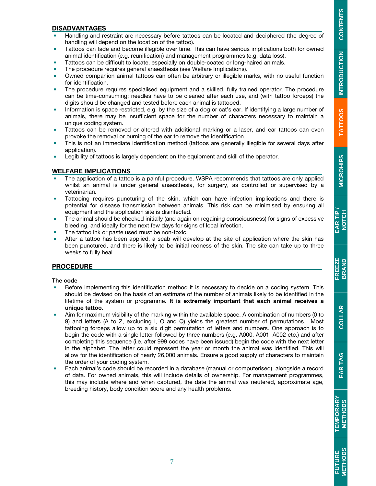EAR TIP /<br>NOTCH

FREEZE<br>BRAND

COLLAR

EAR TAG

#### DISADVANTAGES

- Handling and restraint are necessary before tattoos can be located and deciphered (the degree of handling will depend on the location of the tattoo).
- **Tattoos can fade and become illegible over time. This can have serious implications both for owned** animal identification (e.g. reunification) and management programmes (e.g. data loss).
- Tattoos can be difficult to locate, especially on double-coated or long-haired animals.
- The procedure requires general anaesthesia (see Welfare Implications).
- Owned companion animal tattoos can often be arbitrary or illegible marks, with no useful function for identification.
- **The procedure requires specialised equipment and a skilled, fully trained operator. The procedure** can be time-consuming; needles have to be cleaned after each use, and (with tattoo forceps) the digits should be changed and tested before each animal is tattooed.
- Information is space restricted, e.g. by the size of a dog or cat's ear. If identifying a large number of animals, there may be insufficient space for the number of characters necessary to maintain a unique coding system.
- **Tattoos can be removed or altered with additional marking or a laser, and ear tattoos can even** provoke the removal or burning of the ear to remove the identification.
- This is not an immediate identification method (tattoos are generally illegible for several days after application).
- **Legibility of tattoos is largely dependent on the equipment and skill of the operator.**

#### WELFARE IMPLICATIONS

- The application of a tattoo is a painful procedure. WSPA recommends that tattoos are only applied whilst an animal is under general anaesthesia, for surgery, as controlled or supervised by a veterinarian.
- **Tattooing requires puncturing of the skin, which can have infection implications and there is** potential for disease transmission between animals. This risk can be minimised by ensuring all equipment and the application site is disinfected.
- **The animal should be checked initially (and again on regaining consciousness) for signs of excessive** bleeding, and ideally for the next few days for signs of local infection.
- The tattoo ink or paste used must be non-toxic.
- After a tattoo has been applied, a scab will develop at the site of application where the skin has been punctured, and there is likely to be initial redness of the skin. The site can take up to three weeks to fully heal.

#### **PROCEDURE**

#### The code

- Before implementing this identification method it is necessary to decide on a coding system. This should be devised on the basis of an estimate of the number of animals likely to be identified in the lifetime of the system or programme. It is extremely important that each animal receives a unique tattoo.
- Aim for maximum visibility of the marking within the available space. A combination of numbers (0 to 9) and letters (A to Z, excluding I, O and Q) yields the greatest number of permutations. Most tattooing forceps allow up to a six digit permutation of letters and numbers. One approach is to begin the code with a single letter followed by three numbers (e.g. A000, A001, A002 etc.) and after completing this sequence (i.e. after 999 codes have been issued) begin the code with the next letter in the alphabet. The letter could represent the year or month the animal was identified. This will allow for the identification of nearly 26,000 animals. Ensure a good supply of characters to maintain the order of your coding system.
- Each animal's code should be recorded in a database (manual or computerised), alongside a record of data. For owned animals, this will include details of ownership. For management programmes, this may include where and when captured, the date the animal was neutered, approximate age, breeding history, body condition score and any health problems.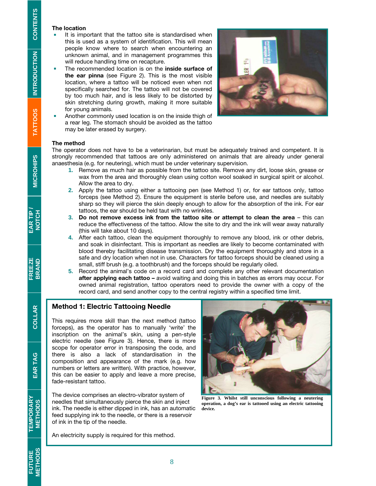#### The location

- It is important that the tattoo site is standardised when this is used as a system of identification. This will mean people know where to search when encountering an unknown animal, and in management programmes this will reduce handling time on recapture.
- The recommended location is on the inside surface of the ear pinna (see Figure 2). This is the most visible location, where a tattoo will be noticed even when not specifically searched for. The tattoo will not be covered by too much hair, and is less likely to be distorted by skin stretching during growth, making it more suitable for young animals.
- Another commonly used location is on the inside thigh of a rear leg. The stomach should be avoided as the tattoo may be later erased by surgery.



#### The method

The operator does not have to be a veterinarian, but must be adequately trained and competent. It is strongly recommended that tattoos are only administered on animals that are already under general anaesthesia (e.g. for neutering), which must be under veterinary supervision.

- **1.** Remove as much hair as possible from the tattoo site. Remove any dirt, loose skin, grease or wax from the area and thoroughly clean using cotton wool soaked in surgical spirit or alcohol. Allow the area to dry.
- **2.** Apply the tattoo using either a tattooing pen (see Method 1) or, for ear tattoos only, tattoo forceps (see Method 2). Ensure the equipment is sterile before use, and needles are suitably sharp so they will pierce the skin deeply enough to allow for the absorption of the ink. For ear tattoos, the ear should be held taut with no wrinkles.
- **3.** Do not remove excess ink from the tattoo site or attempt to clean the area this can reduce the effectiveness of the tattoo. Allow the site to dry and the ink will wear away naturally (this will take about 10 days).
- **4.** After each tattoo, clean the equipment thoroughly to remove any blood, ink or other debris, and soak in disinfectant. This is important as needles are likely to become contaminated with blood thereby facilitating disease transmission. Dry the equipment thoroughly and store in a safe and dry location when not in use. Characters for tattoo forceps should be cleaned using a small, stiff brush (e.g. a toothbrush) and the forceps should be regularly oiled.
- **5.** Record the animal's code on a record card and complete any other relevant documentation after applying each tattoo - avoid waiting and doing this in batches as errors may occur. For owned animal registration, tattoo operators need to provide the owner with a copy of the record card, and send another copy to the central registry within a specified time limit.

#### Method 1: Electric Tattooing Needle

This requires more skill than the next method (tattoo forceps), as the operator has to manually 'write' the inscription on the animal's skin, using a pen-style electric needle (see Figure 3). Hence, there is more scope for operator error in transposing the code, and there is also a lack of standardisation in the composition and appearance of the mark (e.g. how numbers or letters are written). With practice, however, this can be easier to apply and leave a more precise, fade-resistant tattoo.

The device comprises an electro-vibrator system of needles that simultaneously pierce the skin and inject ink. The needle is either dipped in ink, has an automatic feed supplying ink to the needle, or there is a reservoir of ink in the tip of the needle.



**Figure 3. Whilst still unconscious following a neutering operation, a dog's ear is tattooed using an electric tattooing device.** 

An electricity supply is required for this method.

EAR TAG

COLLAR

**FUTURE**<br>METHODS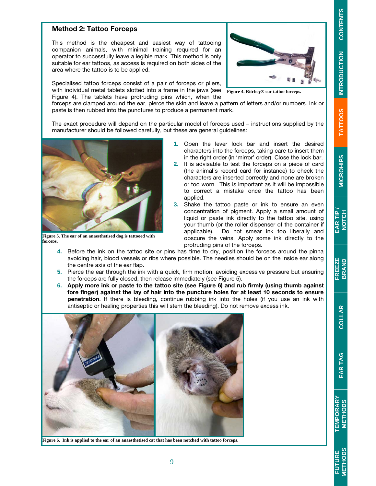# **CONTENTS**

# **TATTOOS**

**MICROHIP MICROHIPS** 

# EAR TAG

**EAR TIP / NOTCH FREEZE BRAND EAR TAG TEMPORARY METHODS FUTURE METHODS COLLAR TEMPORARY**<br>METHODS

# **FUTURE**<br>METHODS

#### Method 2: Tattoo Forceps

This method is the cheapest and easiest way of tattooing companion animals, with minimal training required for an operator to successfully leave a legible mark. This method is only suitable for ear tattoos, as access is required on both sides of the area where the tattoo is to be applied.

Specialised tattoo forceps consist of a pair of forceps or pliers, with individual metal tablets slotted into a frame in the jaws (see Figure 4). The tablets have protruding pins which, when the



**Figure 4. Ritchey® ear tattoo forceps.** 

forceps are clamped around the ear, pierce the skin and leave a pattern of letters and/or numbers. Ink or paste is then rubbed into the punctures to produce a permanent mark.

The exact procedure will depend on the particular model of forceps used – instructions supplied by the manufacturer should be followed carefully, but these are general guidelines:



**Figure 5. The ear of an anaesthetised dog is tattooed with forceps.**

- **1.** Open the lever lock bar and insert the desired characters into the forceps, taking care to insert them in the right order (in 'mirror' order). Close the lock bar.
- **2.** It is advisable to test the forceps on a piece of card (the animal's record card for instance) to check the characters are inserted correctly and none are broken or too worn. This is important as it will be impossible to correct a mistake once the tattoo has been applied.
- **3.** Shake the tattoo paste or ink to ensure an even concentration of pigment. Apply a small amount of liquid or paste ink directly to the tattoo site, using your thumb (or the roller dispenser of the container if applicable). Do not smear ink too liberally and obscure the veins. Apply some ink directly to the protruding pins of the forceps.
- **4.** Before the ink on the tattoo site or pins has time to dry, position the forceps around the pinna avoiding hair, blood vessels or ribs where possible. The needles should be on the inside ear along the centre axis of the ear flap.
- **5.** Pierce the ear through the ink with a quick, firm motion, avoiding excessive pressure but ensuring the forceps are fully closed, then release immediately (see Figure 5).
- **6.** Apply more ink or paste to the tattoo site (see Figure 6) and rub firmly (using thumb against fore finger) against the lay of hair into the puncture holes for at least 10 seconds to ensure penetration. If there is bleeding, continue rubbing ink into the holes (if you use an ink with antiseptic or healing properties this will stem the bleeding). Do not remove excess ink.



**Figure 6. Ink is applied to the ear of an anaesthetised cat that has been notched with tattoo forceps.**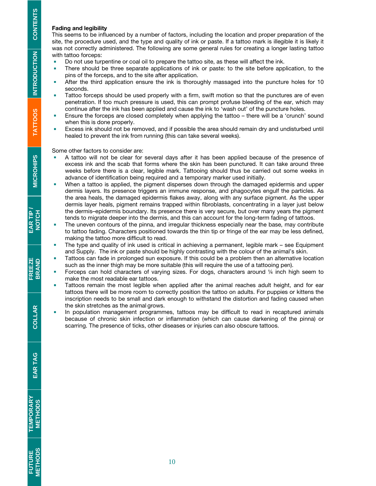#### Fading and legibility

This seems to be influenced by a number of factors, including the location and proper preparation of the site, the procedure used, and the type and quality of ink or paste. If a tattoo mark is illegible it is likely it was not correctly administered. The following are some general rules for creating a longer lasting tattoo with tattoo forceps:

- Do not use turpentine or coal oil to prepare the tattoo site, as these will affect the ink.
- **There should be three separate applications of ink or paste: to the site before application, to the** pins of the forceps, and to the site after application.
- After the third application ensure the ink is thoroughly massaged into the puncture holes for 10 seconds.
- **Tattoo forceps should be used properly with a firm, swift motion so that the punctures are of even** penetration. If too much pressure is used, this can prompt profuse bleeding of the ear, which may continue after the ink has been applied and cause the ink to 'wash out' of the puncture holes.
- Ensure the forceps are closed completely when applying the tattoo there will be a 'crunch' sound when this is done properly.
- Excess ink should not be removed, and if possible the area should remain dry and undisturbed until healed to prevent the ink from running (this can take several weeks).

Some other factors to consider are:

- A tattoo will not be clear for several days after it has been applied because of the presence of excess ink and the scab that forms where the skin has been punctured. It can take around three weeks before there is a clear, legible mark. Tattooing should thus be carried out some weeks in advance of identification being required and a temporary marker used initially.
- When a tattoo is applied, the pigment disperses down through the damaged epidermis and upper dermis layers. Its presence triggers an immune response, and phagocytes engulf the particles. As the area heals, the damaged epidermis flakes away, along with any surface pigment. As the upper dermis layer heals, pigment remains trapped within fibroblasts, concentrating in a layer just below the dermis–epidermis boundary. Its presence there is very secure, but over many years the pigment tends to migrate deeper into the dermis, and this can account for the long-term fading of tattoos.
- **The uneven contours of the pinna, and irregular thickness especially near the base, may contribute** to tattoo fading. Characters positioned towards the thin tip or fringe of the ear may be less defined, making the tattoo more difficult to read.
- The type and quality of ink used is critical in achieving a permanent, legible mark see Equipment and Supply. The ink or paste should be highly contrasting with the colour of the animal's skin.
- Tattoos can fade in prolonged sun exposure. If this could be a problem then an alternative location such as the inner thigh may be more suitable (this will require the use of a tattooing pen).
- Forceps can hold characters of varying sizes. For dogs, characters around  $\frac{1}{4}$  inch high seem to make the most readable ear tattoos.
- **Tattoos remain the most legible when applied after the animal reaches adult height, and for ear** tattoos there will be more room to correctly position the tattoo on adults. For puppies or kittens the inscription needs to be small and dark enough to withstand the distortion and fading caused when the skin stretches as the animal grows.
- **In population management programmes, tattoos may be difficult to read in recaptured animals** because of chronic skin infection or inflammation (which can cause darkening of the pinna) or scarring. The presence of ticks, other diseases or injuries can also obscure tattoos.

COLLAR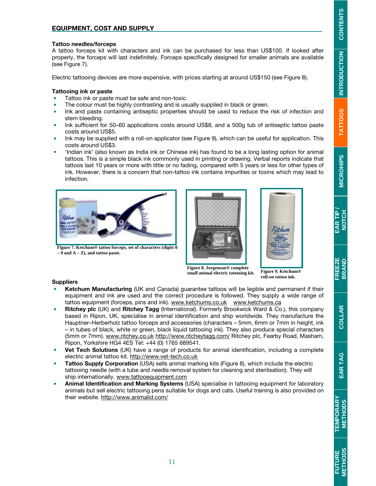#### EQUIPMENT, COST AND SUPPLY

#### Tattoo needles/forceps

A tattoo forceps kit with characters and ink can be purchased for less than US\$100. If looked after properly, the forceps will last indefinitely. Forceps specifically designed for smaller animals are available (see Figure 7).

Electric tattooing devices are more expensive, with prices starting at around US\$150 (see Figure 8).

#### Tattooing ink or paste

- Tattoo ink or paste must be safe and non-toxic.
- **The colour must be highly contrasting and is usually supplied in black or green.**
- **Ink and paste containing antiseptic properties should be used to reduce the risk of infection and** stem bleeding.
- Ink sufficient for 50–60 applications costs around US\$8, and a 500g tub of antiseptic tattoo paste costs around US\$5.
- Ink may be supplied with a roll-on applicator (see Figure 9), which can be useful for application. This costs around US\$3.
- 'Indian ink' (also known as India ink or Chinese ink) has found to be a long lasting option for animal tattoos. This is a simple black ink commonly used in printing or drawing. Verbal reports indicate that tattoos last 10 years or more with little or no fading, compared with 5 years or less for other types of ink. However, there is a concern that non-tattoo ink contains impurities or toxins which may lead to infection.



**Figure 7. Ketchum® tattoo forceps, set of characters (digits 0 – 9 and A – Z), and tattoo paste.** 





**Figure 8. Jorgenson® complete small animal electric tattooing kit.** 

**Figure 9. Ketchum® roll-on tattoo ink.** 

#### **Suppliers**

- Ketchum Manufacturing (UK and Canada) guarantee tattoos will be legible and permanent if their equipment and ink are used and the correct procedure is followed. They supply a wide range of tattoo equipment (forceps, pins and ink). www.ketchums.co.uk www.ketchums.ca
- **Ritchey plc** (UK) and **Ritchey Tagg** (International). Formerly Brookwick Ward & Co.), this company based in Ripon, UK, specialise in animal identification and ship worldwide. They manufacture the Hauptner–Herberholz tattoo forceps and accessories (characters – 5mm, 6mm or 7mm in height, ink – in tubes of black, white or green, black liquid tattooing ink). They also produce special characters (5mm or 7mm). www.ritchey.co.uk http://www.ritcheytagg.com/ Ritchey plc, Fearby Road, Masham, Ripon, Yorkshire HG4 4ES Tel: +44 (0) 1765 689541.
- **Vet Tech Solutions** (UK) have a range of products for animal identification, including a complete electric animal tattoo kit. http://www.vet-tech.co.uk
- **Tattoo Supply Corporation** (USA) sells animal marking kits (Figure 8), which include the electric tattooing needle (with a tube and needle removal system for cleaning and sterilisation). They will ship internationally. www.tattooequipment.com
- **Animal Identification and Marking Systems** (USA) specialise in tattooing equipment for laboratory animals but sell electric tattooing pens suitable for dogs and cats. Useful training is also provided on their website. http://www.animalid.com/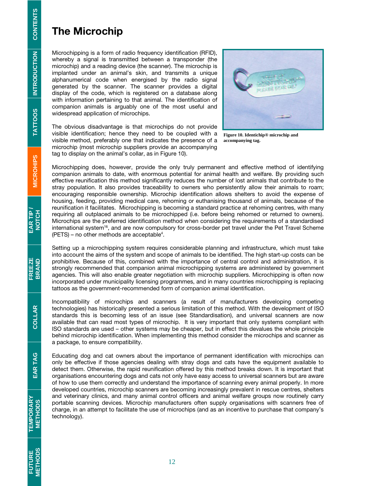## The Microchip

Microchipping is a form of radio frequency identification (RFID), whereby a signal is transmitted between a transponder (the microchip) and a reading device (the scanner). The microchip is implanted under an animal's skin, and transmits a unique alphanumerical code when energised by the radio signal generated by the scanner. The scanner provides a digital display of the code, which is registered on a database along with information pertaining to that animal. The identification of companion animals is arguably one of the most useful and widespread application of microchips.

The obvious disadvantage is that microchips do not provide visible identification; hence they need to be coupled with a visible method, preferably one that indicates the presence of a microchip (most microchip suppliers provide an accompanying tag to display on the animal's collar, as in Figure 10).



**Figure 10. Identichip® microchip and accompanying tag.**

Microchipping does, however, provide the only truly permanent and effective method of identifying companion animals to date, with enormous potential for animal health and welfare. By providing such effective reunification this method significantly reduces the number of lost animals that contribute to the stray population. It also provides traceability to owners who persistently allow their animals to roam; encouraging responsible ownership. Microchip identification allows shelters to avoid the expense of housing, feeding, providing medical care, rehoming or euthanising thousand of animals, because of the reunification it facilitates. Microchipping is becoming a standard practice at rehoming centres, with many requiring all outplaced animals to be microchipped (i.e. before being rehomed or returned to owners). Microchips are the preferred identification method when considering the requirements of a standardised international system<sup>16</sup>, and are now compulsory for cross-border pet travel under the Pet Travel Scheme (PETS) – no other methods are acceptable4 .

Setting up a microchipping system requires considerable planning and infrastructure, which must take into account the aims of the system and scope of animals to be identified. The high start-up costs can be prohibitive. Because of this, combined with the importance of central control and administration, it is strongly recommended that companion animal microchipping systems are administered by government agencies. This will also enable greater negotiation with microchip suppliers. Microchipping is often now incorporated under municipality licensing programmes, and in many countries microchipping is replacing tattoos as the government-recommended form of companion animal identification.

Incompatibility of microchips and scanners (a result of manufacturers developing competing technologies) has historically presented a serious limitation of this method. With the development of ISO standards this is becoming less of an issue (see Standardisation), and universal scanners are now available that can read most types of microchip. It is very important that only systems compliant with ISO standards are used – other systems may be cheaper, but in effect this devalues the whole principle behind microchip identification. When implementing this method consider the microchips and scanner as a package, to ensure compatibility.

Educating dog and cat owners about the importance of permanent identification with microchips can only be effective if those agencies dealing with stray dogs and cats have the equipment available to detect them. Otherwise, the rapid reunification offered by this method breaks down. It is important that organisations encountering dogs and cats not only have easy access to universal scanners but are aware of how to use them correctly and understand the importance of scanning every animal properly. In more developed countries, microchip scanners are becoming increasingly prevalent in rescue centres, shelters and veterinary clinics, and many animal control officers and animal welfare groups now routinely carry portable scanning devices. Microchip manufacturers often supply organisations with scanners free of charge, in an attempt to facilitate the use of microchips (and as an incentive to purchase that company's technology).

**TEMPORARY<br>METHODS**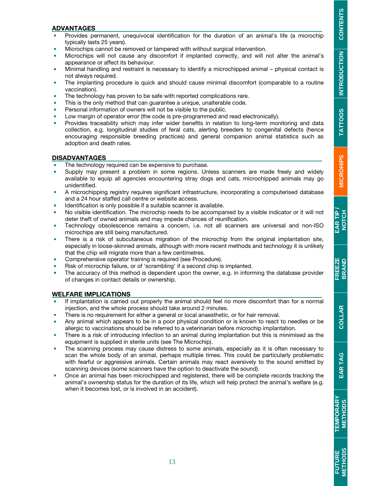**TATTOOS** 

#### ADVANTAGES

- Provides permanent, unequivocal identification for the duration of an animal's life (a microchip typically lasts 25 years).
- **Microchips cannot be removed or tampered with without surgical intervention.**
- Microchips will not cause any discomfort if implanted correctly, and will not alter the animal's appearance or affect its behaviour.
- Minimal handling and restraint is necessary to identify a microchipped animal physical contact is not always required.
- The implanting procedure is quick and should cause minimal discomfort (comparable to a routine vaccination).
- The technology has proven to be safe with reported complications rare.
- This is the only method that can guarantee a unique, unalterable code.
- Personal information of owners will not be visible to the public.
- Low margin of operator error (the code is pre-programmed and read electronically).
- **Provides traceability which may infer wider benefits in relation to long-term monitoring and data** collection, e.g. longitudinal studies of feral cats, alerting breeders to congenital defects (hence encouraging responsible breeding practices) and general companion animal statistics such as adoption and death rates.

#### **DISADVANTAGES**

- The technology required can be expensive to purchase.
- **Supply may present a problem in some regions. Unless scanners are made freely and widely** available to equip all agencies encountering stray dogs and cats, microchipped animals may go unidentified.
- A microchipping registry requires significant infrastructure, incorporating a computerised database and a 24 hour staffed call centre or website access.
- Identification is only possible if a suitable scanner is available.
- No visible identification. The microchip needs to be accompanied by a visible indicator or it will not deter theft of owned animals and may impede chances of reunification.
- Technology obsolescence remains a concern, i.e. not all scanners are universal and non-ISO microchips are still being manufactured.
- There is a risk of subcutaneous migration of the microchip from the original implantation site, especially in loose-skinned animals, although with more recent methods and technology it is unlikely that the chip will migrate more than a few centimetres.
- Comprehensive operator training is required (see Procedure).
- Risk of microchip failure, or of 'scrambling' if a second chip is implanted.
- The accuracy of this method is dependent upon the owner, e.g. in informing the database provider of changes in contact details or ownership.

#### WELFARE IMPLICATIONS

- If implantation is carried out properly the animal should feel no more discomfort than for a normal injection, and the whole process should take around 2 minutes.
- There is no requirement for either a general or local anaesthetic, or for hair removal.
- Any animal which appears to be in a poor physical condition or is known to react to needles or be allergic to vaccinations should be referred to a veterinarian before microchip implantation.
- There is a risk of introducing infection to an animal during implantation but this is minimised as the equipment is supplied in sterile units (see The Microchip).
- The scanning process may cause distress to some animals, especially as it is often necessary to scan the whole body of an animal, perhaps multiple times. This could be particularly problematic with fearful or aggressive animals. Certain animals may react aversively to the sound emitted by scanning devices (some scanners have the option to deactivate the sound).
- **•** Once an animal has been microchipped and registered, there will be complete records tracking the animal's ownership status for the duration of its life, which will help protect the animal's welfare (e.g. when it becomes lost, or is involved in an accident).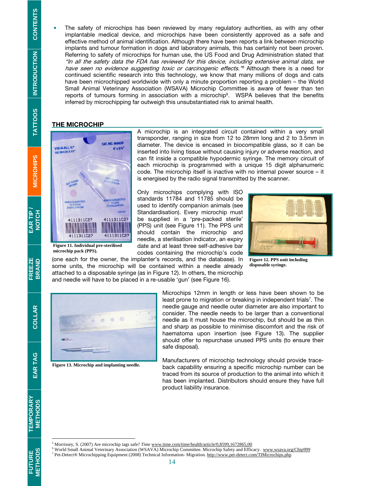**The safety of microchips has been reviewed by many regulatory authorities, as with any other** implantable medical device, and microchips have been consistently approved as a safe and effective method of animal identification. Although there have been reports a link between microchip implants and tumour formation in dogs and laboratory animals, this has certainly not been proven. Referring to safety of microchips for human use, the US Food and Drug Administration stated that "In all the safety data the FDA has reviewed for this device, including extensive animal data, we have seen no evidence suggesting toxic or carcinogenic effects.<sup>75</sup> Although there is a need for continued scientific research into this technology, we know that many millions of dogs and cats have been microchipped worldwide with only a minute proportion reporting a problem – the World Small Animal Veterinary Association (WSAVA) Microchip Committee is aware of fewer than ten reports of tumours forming in association with a microchip $^6$ . WSPA believes that the benefits inferred by microchipping far outweigh this unsubstantiated risk to animal health.

#### **THE MICROCHIP**



**Figure 11. Individual pre-sterilised microchip pack (PPS).** 

A microchip is an integrated circuit contained within a very small transponder, ranging in size from 12 to 28mm long and 2 to 3.5mm in diameter. The device is encased in biocompatible glass, so it can be inserted into living tissue without causing injury or adverse reaction, and can fit inside a compatible hypodermic syringe. The memory circuit of each microchip is programmed with a unique 15 digit alphanumeric code. The microchip itself is inactive with no internal power source – it is energised by the radio signal transmitted by the scanner.

Only microchips complying with ISO standards 11784 and 11785 should be used to identify companion animals (see Standardisation). Every microchip must be supplied in a 'pre-packed sterile' (PPS) unit (see Figure 11). The PPS unit should contain the microchip and needle, a sterilisation indicator, an expiry date and at least three self-adhesive bar codes containing the microchip's code



**Figure 12. PPS unit including disposable syringe.** 

(one each for the owner, the implanter's records, and the database). In some units, the microchip will be contained within a needle already attached to a disposable syringe (as in Figure 12). In others, the microchip and needle will have to be placed in a re-usable 'gun' (see Figure 16).



**Figure 13. Microchip and implanting needle.** 

Microchips 12mm in length or less have been shown to be least prone to migration or breaking in independent trials<sup>7</sup>. The needle gauge and needle outer diameter are also important to consider. The needle needs to be larger than a conventional needle as it must house the microchip, but should be as thin and sharp as possible to minimise discomfort and the risk of haematoma upon insertion (see Figure 13). The supplier should offer to repurchase unused PPS units (to ensure their safe disposal).

Manufacturers of microchip technology should provide traceback capability ensuring a specific microchip number can be traced from its source of production to the animal into which it has been implanted. Distributors should ensure they have full product liability insurance.

**INTRODUCTION TATTOOS**

**TATTOOS** 

S TATTOOS INTRODUCTION CONTENTS

**INTRODUCTION** 

**CONTENTS** 

EAR TAG

FUTURE<br>METHODS

Morrissey, S. (2007) Are microchip tags safe? *Time* www.time.com/time/health/article/0,8599,1672865,00<br><sup>6</sup> World Small Animal Veterinary Association (WSAVA) Microchip Committee. Microchip Safety and Efficacy. www.wsaya.or

Pet-Detect® Microchipping Equipment (2008) Technical Information- Migration. http://www.pet-detect.com/TIMicrochips.php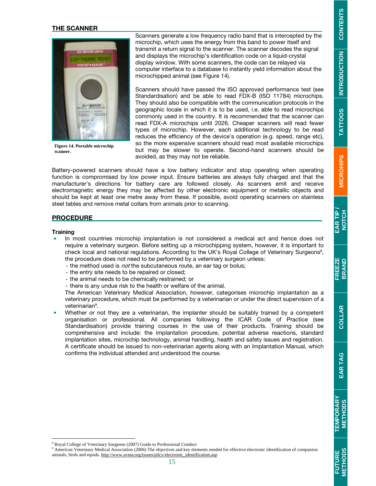#### THE SCANNER



**Figure 14. Portable microchip scanner.** 

Scanners generate a low frequency radio band that is intercepted by the microchip, which uses the energy from this band to power itself and transmit a return signal to the scanner. The scanner decodes the signal and displays the microchip's identification code on a liquid-crystal display window. With some scanners, the code can be relayed via computer interface to a database to instantly yield information about the microchipped animal (see Figure 14).

Scanners should have passed the ISO approved performance test (see Standardisation) and be able to read FDX-B (ISO 11784) microchips. They should also be compatible with the communication protocols in the geographic locale in which it is to be used, i.e. able to read microchips commonly used in the country. It is recommended that the scanner can read FDX-A microchips until 2026. Cheaper scanners will read fewer types of microchip. However, each additional technology to be read reduces the efficiency of the device's operation (e.g. speed, range etc), so the more expensive scanners should read most available microchips but may be slower to operate. Second-hand scanners should be avoided, as they may not be reliable.

Battery-powered scanners should have a low battery indicator and stop operating when operating function is compromised by low power input. Ensure batteries are always fully charged and that the manufacturer's directions for battery care are followed closely. As scanners emit and receive electromagnetic energy they may be affected by other electronic equipment or metallic objects and should be kept at least one metre away from these. If possible, avoid operating scanners on stainless steel tables and remove metal collars from animals prior to scanning.

#### **PROCEDURE**

#### **Training**

-

- In most countries microchip implantation is not considered a medical act and hence does not require a veterinary surgeon. Before setting up a microchipping system, however, it is important to check local and national regulations. According to the UK's Royal College of Veterinary Surgeons<sup>8</sup>, the procedure does not need to be performed by a veterinary surgeon unless:
	- the method used is *not* the subcutaneous route, an ear tag or bolus;
	- the entry site needs to be repaired or closed;
	- the animal needs to be chemically restrained; or
	- there is any undue risk to the health or welfare of the animal.

The American Veterinary Medical Association, however, categorises microchip implantation as a veterinary procedure, which must be performed by a veterinarian or under the direct supervision of a veterinarian<sup>9</sup>.

 Whether or not they are a veterinarian, the implanter should be suitably trained by a competent organisation or professional. All companies following the ICAR Code of Practice (see Standardisation) provide training courses in the use of their products. Training should be comprehensive and include: the implantation procedure, potential adverse reactions, standard implantation sites, microchip technology, animal handling, health and safety issues and registration. A certificate should be issued to non-veterinarian agents along with an Implantation Manual, which confirms the individual attended and understood the course.

EAR TIP **NOTCH** 

**MICROHIP MICROHIPS** 

**TATTOOS** 

<sup>&</sup>lt;sup>9</sup> American Veterinary Medical Association (2006) The objectives and key elements needed for effective electronic identification of companion animals, birds and equids. http://www.avma.org/issues/pilcy/electronic\_identification.asp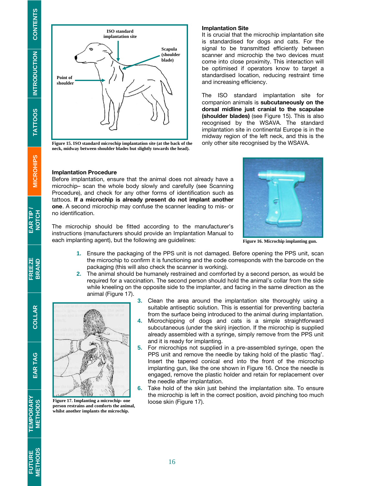**Point of shoulder Scapula (shoulder blade) ISO standard implantation site** 

**Figure 15. ISO standard microchip implantation site (at the back of the neck, midway between shoulder blades but slightly towards the head).**

#### Implantation Procedure

**Figure 17. Implanting a microchip- one person restrains and comforts the animal, whilst another implants the microchip.** 

Before implantation, ensure that the animal does not already have a microchip– scan the whole body slowly and carefully (see Scanning Procedure), and check for any other forms of identification such as tattoos. If a microchip is already present do not implant another one. A second microchip may confuse the scanner leading to mis- or no identification.

The microchip should be fitted according to the manufacturer's instructions (manufacturers should provide an Implantation Manual to each implanting agent), but the following are guidelines:

- **1.** Ensure the packaging of the PPS unit is not damaged. Before opening the PPS unit, scan the microchip to confirm it is functioning and the code corresponds with the barcode on the packaging (this will also check the scanner is working).
- **2.** The animal should be humanely restrained and comforted by a second person, as would be required for a vaccination. The second person should hold the animal's collar from the side while kneeling on the opposite side to the implanter, and facing in the same direction as the animal (Figure 17).
	- **3.** Clean the area around the implantation site thoroughly using a suitable antiseptic solution. This is essential for preventing bacteria from the surface being introduced to the animal during implantation.
	- **4.** Microchipping of dogs and cats is a simple straightforward subcutaneous (under the skin) injection. If the microchip is supplied already assembled with a syringe, simply remove from the PPS unit and it is ready for implanting.
	- **5.** For microchips not supplied in a pre-assembled syringe, open the PPS unit and remove the needle by taking hold of the plastic 'flag'. Insert the tapered conical end into the front of the microchip implanting gun, like the one shown in Figure 16. Once the needle is engaged, remove the plastic holder and retain for replacement over the needle after implantation.
	- **6.** Take hold of the skin just behind the implantation site. To ensure the microchip is left in the correct position, avoid pinching too much loose skin (Figure 17).



It is crucial that the microchip implantation site is standardised for dogs and cats. For the signal to be transmitted efficiently between scanner and microchip the two devices must come into close proximity. This interaction will be optimised if operators know to target a standardised location, reducing restraint time and increasing efficiency.

The ISO standard implantation site for companion animals is subcutaneously on the dorsal midline just cranial to the scapulae (shoulder blades) (see Figure 15). This is also recognised by the WSAVA. The standard implantation site in continental Europe is in the midway region of the left neck, and this is the only other site recognised by the WSAVA.

#### **Figure 16. Microchip implanting gun.**



**TATTOOS** 

**TEMPORARY**<br>METHODS

FUTURE<br>METHODS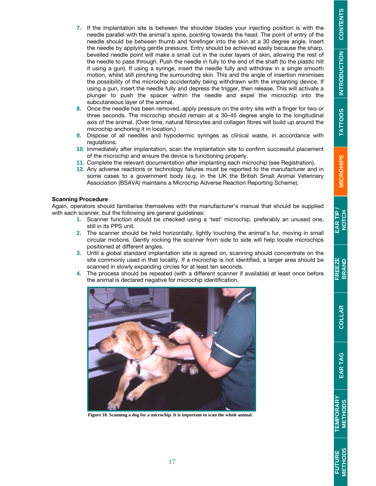COLLAR

- **7.** If the implantation site is between the shoulder blades your injecting position is with the needle parallel with the animal's spine, pointing towards the head. The point of entry of the needle should be between thumb and forefinger into the skin at a 30 degree angle. Insert the needle by applying gentle pressure. Entry should be achieved easily because the sharp, bevelled needle point will make a small cut in the outer layers of skin, allowing the rest of the needle to pass through. Push the needle in fully to the end of the shaft (to the plastic hilt if using a gun). If using a syringe, insert the needle fully and withdraw in a single smooth motion, whilst still pinching the surrounding skin. This and the angle of insertion minimises the possibility of the microchip accidentally being withdrawn with the implanting device. If using a gun, insert the needle fully and depress the trigger, then release. This will activate a plunger to push the spacer within the needle and expel the microchip into the subcutaneous layer of the animal.
- **8.** Once the needle has been removed, apply pressure on the entry site with a finger for two or three seconds. The microchip should remain at a 30–45 degree angle to the longitudinal axis of the animal. (Over time, natural fibrocytes and collagen fibres will build up around the microchip anchoring it in location.)
- **9.** Dispose of all needles and hypodermic syringes as clinical waste, in accordance with regulations.
- **10.** Immediately after implantation, scan the implantation site to confirm successful placement of the microchip and ensure the device is functioning properly.
- **11.** Complete the relevant documentation after implanting each microchip (see Registration).
- **12.** Any adverse reactions or technology failures must be reported to the manufacturer and in some cases to a government body (e.g. in the UK the British Small Animal Veterinary Association (BSAVA) maintains a Microchip Adverse Reaction Reporting Scheme).

#### Scanning Procedure

Again, operators should familiarise themselves with the manufacturer's manual that should be supplied with each scanner, but the following are general guidelines:

- **1.** Scanner function should be checked using a 'test' microchip, preferably an unused one, still in its PPS unit.
- **2.** The scanner should be held horizontally, lightly touching the animal's fur, moving in small circular motions. Gently rocking the scanner from side to side will help locate microchips positioned at different angles.
- **3.** Until a global standard implantation site is agreed on, scanning should concentrate on the site commonly used in that locality. If a microchip is not identified, a larger area should be scanned in slowly expanding circles for at least ten seconds.
- **4.** The process should be repeated (with a different scanner if available) at least once before the animal is declared negative for microchip identification.



**Figure 18. Scanning a dog for a microchip. It is important to scan the whole animal.**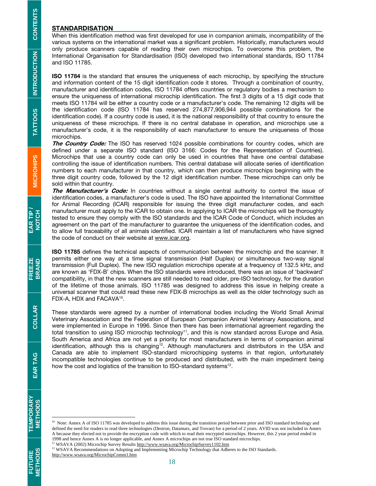#### **STANDARDISATION**

When this identification method was first developed for use in companion animals, incompatibility of the various systems on the international market was a significant problem. Historically, manufacturers would only produce scanners capable of reading their own microchips. To overcome this problem, the International Organisation for Standardisation (ISO) developed two international standards, ISO 11784 and ISO 11785.

ISO 11784 is the standard that ensures the uniqueness of each microchip, by specifying the structure and information content of the 15 digit identification code it stores. Through a combination of country, manufacturer and identification codes, ISO 11784 offers countries or regulatory bodies a mechanism to ensure the uniqueness of international microchip identification. The first 3 digits of a 15 digit code that meets ISO 11784 will be either a country code or a manufacturer's code. The remaining 12 digits will be the identification code (ISO 11784 has reserved 274,877,906,944 possible combinations for the identification code). If a country code is used, it is the national responsibility of that country to ensure the uniqueness of these microchips. If there is no central database in operation, and microchips use a manufacturer's code, it is the responsibility of each manufacturer to ensure the uniqueness of those microchips.

The Country Code: The ISO has reserved 1024 possible combinations for country codes, which are defined under a separate ISO standard (ISO 3166: Codes for the Representation of Countries). Microchips that use a country code can only be used in countries that have one central database controlling the issue of identification numbers. This central database will allocate series of identification numbers to each manufacturer in that country, which can then produce microchips beginning with the three digit country code, followed by the 12 digit identification number. These microchips can only be sold within that country.

The Manufacturer's Code: In countries without a single central authority to control the issue of identification codes, a manufacturer's code is used. The ISO have appointed the International Committee for Animal Recording (ICAR) responsible for issuing the three digit manufacturer codes, and each manufacturer must apply to the ICAR to obtain one. In applying to ICAR the microchips will be thoroughly tested to ensure they comply with the ISO standards and the ICAR Code of Conduct, which includes an agreement on the part of the manufacturer to guarantee the uniqueness of the identification codes, and to allow full traceability of all animals identified. ICAR maintain a list of manufacturers who have signed the code of conduct on their website at www.icar.org.

ISO 11785 defines the technical aspects of communication between the microchip and the scanner. It permits either one way at a time signal transmission (Half Duplex) or simultaneous two-way signal transmission (Full Duplex). The new ISO regulation microchips operate at a frequency of 132.5 kHz, and are known as 'FDX-B' chips. When the ISO standards were introduced, there was an issue of 'backward' compatibility, in that the new scanners are still needed to read older, pre-ISO technology, for the duration of the lifetime of those animals. ISO 11785 was designed to address this issue in helping create a universal scanner that could read these new FDX-B microchips as well as the older technology such as FDX-A, HDX and FACAVA<sup>10</sup>.

These standards were agreed by a number of international bodies including the World Small Animal Veterinary Association and the Federation of European Companion Animal Veterinary Associations, and were implemented in Europe in 1996. Since then there has been international agreement regarding the total transition to using ISO microchip technology<sup>11</sup>, and this is now standard across Europe and Asia. South America and Africa are not yet a priority for most manufacturers in terms of companion animal identification, although this is changing<sup>12</sup>. Although manufacturers and distributors in the USA and Canada are able to implement ISO-standard microchipping systems in that region, unfortunately incompatible technologies continue to be produced and distributed, with the main impediment being how the cost and logistics of the transition to ISO-standard systems<sup>12</sup>.

<sup>11</sup> WSAVA (2002) Microchip Survey Results http://www.wsava.org/MicrochipSurvey1102.htm

http://www.wsava.org/MicrochipComm1.htm

EAR TAG

**TEMPORARY**<br>METHODS

**FUTURE<br>METHODS** 

<sup>&</sup>lt;sup>10</sup> Note: Annex A of ISO 11785 was developed to address this issue during the transition period between prior and ISO standard technology and defined the need for readers to read three technologies (Destron, Datamars, and Trovan) for a period of 2 years. AVID was not included in Annex A because they elected not to provide the encryption code with which to read their encrypted microchips. However, this 2 year period ended in 1998 and hence Annex A is no longer applicable, and Annex A microchips are not true ISO standard microchips.

<sup>&</sup>lt;sup>12</sup> WSAVA Recommendations on Adopting and Implementing Microchip Technology that Adheres to the ISO Standards.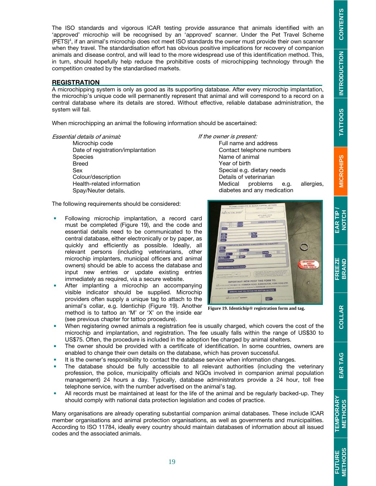INTRODUCTION CONTENTS

**EAR TIP NOTCH** 

COLLAR

**FUTURE**<br>METHODS

The ISO standards and vigorous ICAR testing provide assurance that animals identified with an 'approved' microchip will be recognised by an 'approved' scanner. Under the Pet Travel Scheme (PETS)4 , if an animal's microchip does not meet ISO standards the owner must provide their own scanner when they travel. The standardisation effort has obvious positive implications for recovery of companion animals and disease control, and will lead to the more widespread use of this identification method. This, in turn, should hopefully help reduce the prohibitive costs of microchipping technology through the competition created by the standardised markets.

#### **REGISTRATION**

A microchipping system is only as good as its supporting database. After every microchip implantation, the microchip's unique code will permanently represent that animal and will correspond to a record on a central database where its details are stored. Without effective, reliable database administration, the system will fail.

When microchipping an animal the following information should be ascertained:

Essential details of animal:

Microchip code Date of registration/implantation **Species** Breed Sex Colour/description Health-related information Spay/Neuter details.

If the owner is present: Full name and address Contact telephone numbers Name of animal Year of birth Special e.g. dietary needs Details of veterinarian Medical problems e.g. allergies, diabetes and any medication

The following requirements should be considered:

- **Following microchip implantation, a record card** must be completed (Figure 19), and the code and essential details need to be communicated to the central database, either electronically or by paper, as quickly and efficiently as possible. Ideally, all relevant persons (including veterinarians, other microchip implanters, municipal officers and animal owners) should be able to access the database and input new entries or update existing entries immediately as required, via a secure website.
- After implanting a microchip an accompanying visible indicator should be supplied. Microchip providers often supply a unique tag to attach to the animal's collar, e.g. Identichip (Figure 19). Another method is to tattoo an 'M' or 'X' on the inside ear (see previous chapter for tattoo procedure).
- When registering owned animals a registration fee is usually charged, which covers the cost of the microchip and implantation, and registration. The fee usually falls within the range of US\$30 to US\$75. Often, the procedure is included in the adoption fee charged by animal shelters.
- The owner should be provided with a certificate of identification. In some countries, owners are enabled to change their own details on the database, which has proven successful.
- It is the owner's responsibility to contact the database service when information changes.
- The database should be fully accessible to all relevant authorities (including the veterinary profession, the police, municipality officials and NGOs involved in companion animal population management) 24 hours a day. Typically, database administrators provide a 24 hour, toll free telephone service, with the number advertised on the animal's tag.
- All records must be maintained at least for the life of the animal and be regularly backed-up. They should comply with national data protection legislation and codes of practice.

Many organisations are already operating substantial companion animal databases. These include ICAR member organisations and animal protection organisations, as well as governments and municipalities. According to ISO 11784, ideally every country should maintain databases of information about all issued codes and the associated animals.



**Figure 19. Identichip® registration form and tag.**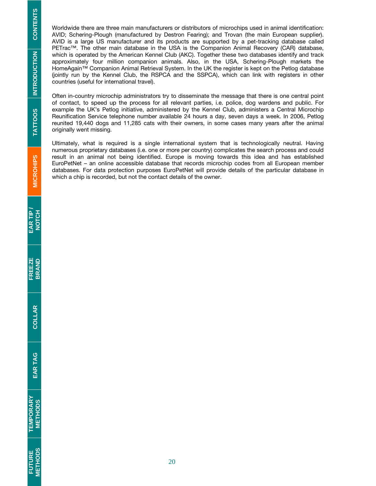Worldwide there are three main manufacturers or distributors of microchips used in animal identification: AVID; Schering-Plough (manufactured by Destron Fearing); and Trovan (the main European supplier). AVID is a large US manufacturer and its products are supported by a pet-tracking database called PETrac™. The other main database in the USA is the Companion Animal Recovery (CAR) database, which is operated by the American Kennel Club (AKC). Together these two databases identify and track approximately four million companion animals. Also, in the USA, Schering-Plough markets the HomeAgain™ Companion Animal Retrieval System. In the UK the register is kept on the Petlog database (jointly run by the Kennel Club, the RSPCA and the SSPCA), which can link with registers in other countries (useful for international travel).

Often in-country microchip administrators try to disseminate the message that there is one central point of contact, to speed up the process for all relevant parties, i.e. police, dog wardens and public. For example the UK's Petlog initiative, administered by the Kennel Club, administers a Central Microchip Reunification Service telephone number available 24 hours a day, seven days a week. In 2006, Petlog reunited 19,440 dogs and 11,285 cats with their owners, in some cases many years after the animal originally went missing.

Ultimately, what is required is a single international system that is technologically neutral. Having numerous proprietary databases (i.e. one or more per country) complicates the search process and could result in an animal not being identified. Europe is moving towards this idea and has established EuroPetNet – an online accessible database that records microchip codes from all European member databases. For data protection purposes EuroPetNet will provide details of the particular database in which a chip is recorded, but not the contact details of the owner.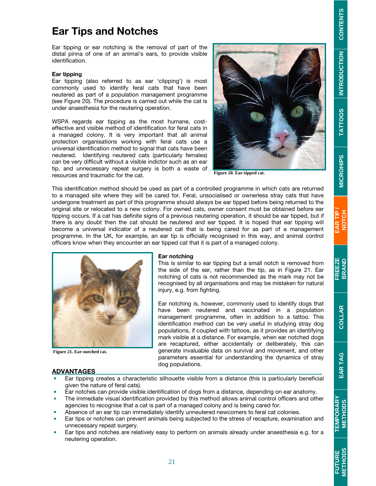# S | TATTOOS ||NTRODUCTION | CONTENTS INTRODUCTION **INTRODUCTION TATTOOS**

# **TEMPORARY**<br>METHODS

# **METHODS FUTURE**

# Ear Tips and Notches

Ear tipping or ear notching is the removal of part of the distal pinna of one of an animal's ears, to provide visible identification.

#### Ear tipping

Ear tipping (also referred to as ear 'clipping') is most commonly used to identify feral cats that have been neutered as part of a population management programme (see Figure 20). The procedure is carried out while the cat is under anaesthesia for the neutering operation.

WSPA regards ear tipping as the most humane, costeffective and visible method of identification for feral cats in a managed colony. It is very important that all animal protection organisations working with feral cats use a universal identification method to signal that cats have been neutered. Identifying neutered cats (particularly females) can be very difficult without a visible indictor such as an ear tip, and unnecessary repeat surgery is both a waste of resources and traumatic for the cat.



**Figure 20. Ear-tipped cat.** 

This identification method should be used as part of a controlled programme in which cats are returned to a managed site where they will be cared for. Feral, unsocialised or ownerless stray cats that have undergone treatment as part of this programme should always be ear tipped before being returned to the original site or relocated to a new colony. For owned cats, owner consent must be obtained before ear tipping occurs. If a cat has definite signs of a previous neutering operation, it should be ear tipped, but if there is any doubt then the cat should be neutered and ear tipped. It is hoped that ear tipping will become a universal indicator of a neutered cat that is being cared for as part of a management programme. In the UK, for example, an ear tip is officially recognised in this way, and animal control officers know when they encounter an ear tipped cat that it is part of a managed colony.



**Figure 21. Ear-notched cat.** 

#### Ear notching

This is similar to ear tipping but a small notch is removed from the side of the ear, rather than the tip, as in Figure 21. Ear notching of cats is not recommended as the mark may not be recognised by all organisations and may be mistaken for natural injury, e.g. from fighting.

Ear notching is, however, commonly used to identify dogs that have been neutered and vaccinated in a population management programme, often in addition to a tattoo. This identification method can be very useful in studying stray dog populations, if coupled with tattoos, as it provides an identifying mark visible at a distance. For example, when ear notched dogs are recaptured, either accidentally or deliberately, this can generate invaluable data on survival and movement, and other parameters essential for understanding the dynamics of stray dog populations.

#### ADVANTAGES

- Ear tipping creates a characteristic silhouette visible from a distance (this is particularly beneficial given the nature of feral cats).
- Ear notches can provide visible identification of dogs from a distance, depending on ear anatomy.
- The immediate visual identification provided by this method allows animal control officers and other agencies to recognise that a cat is part of a managed colony and is being cared for.
- Absence of an ear tip can immediately identify unneutered newcomers to feral cat colonies.
- Ear tips or notches can prevent animals being subjected to the stress of recapture, examination and unnecessary repeat surgery.
- Ear tips and notches are relatively easy to perform on animals already under anaesthesia e.g. for a neutering operation.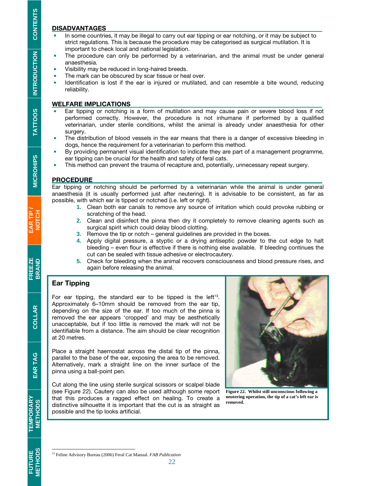#### DISADVANTAGES

- In some countries, it may be illegal to carry out ear tipping or ear notching, or it may be subject to strict regulations. This is because the procedure may be categorised as surgical mutilation. It is important to check local and national legislation.
- The procedure can only be performed by a veterinarian, and the animal must be under general anaesthesia.
- Visibility may be reduced in long-haired breeds.
- The mark can be obscured by scar tissue or heal over.<br>Intentification is lost if the ear is injured or mutilated
- Identification is lost if the ear is injured or mutilated, and can resemble a bite wound, reducing reliability.

#### WELFARE IMPLICATIONS

- Ear tipping or notching is a form of mutilation and may cause pain or severe blood loss if not performed correctly. However, the procedure is not inhumane if performed by a qualified veterinarian, under sterile conditions, whilst the animal is already under anaesthesia for other surgery.
- **The distribution of blood vessels in the ear means that there is a danger of excessive bleeding in** dogs, hence the requirement for a veterinarian to perform this method.
- By providing permanent visual identification to indicate they are part of a management programme, ear tipping can be crucial for the health and safety of feral cats.
- This method can prevent the trauma of recapture and, potentially, unnecessary repeat surgery.

#### PROCEDURE

Ear tipping or notching should be performed by a veterinarian while the animal is under general anaesthesia (it is usually performed just after neutering). It is advisable to be consistent, as far as possible, with which ear is tipped or notched (i.e. left or right).

- **1.** Clean both ear canals to remove any source of irritation which could provoke rubbing or scratching of the head.
- **2.** Clean and disinfect the pinna then dry it completely to remove cleaning agents such as surgical spirit which could delay blood clotting.
- **3.** Remove the tip or notch general guidelines are provided in the boxes.
- **4.** Apply digital pressure, a styptic or a drying antiseptic powder to the cut edge to halt bleeding – even flour is effective if there is nothing else available. If bleeding continues the cut can be sealed with tissue adhesive or electrocautery.
- **5.** Check for bleeding when the animal recovers consciousness and blood pressure rises, and again before releasing the animal.

#### Ear Tipping

For ear tipping, the standard ear to be tipped is the left $13$ . Approximately 6–10mm should be removed from the ear tip, depending on the size of the ear. If too much of the pinna is removed the ear appears 'cropped' and may be aesthetically unacceptable, but if too little is removed the mark will not be identifiable from a distance. The aim should be clear recognition at 20 metres.

Place a straight haemostat across the distal tip of the pinna, parallel to the base of the ear, exposing the area to be removed. Alternatively, mark a straight line on the inner surface of the pinna using a ball-point pen.

Cut along the line using sterile surgical scissors or scalpel blade (see Figure 22). Cautery can also be used although some report that this produces a ragged effect on healing. To create a distinctive silhouette it is important that the cut is as straight as possible and the tip looks artificial.



**Figure 22. Whilst still unconscious following a neutering operation, the tip of a cat's left ear is removed.**

EAR TAG

**FUTURE**<br>METHODS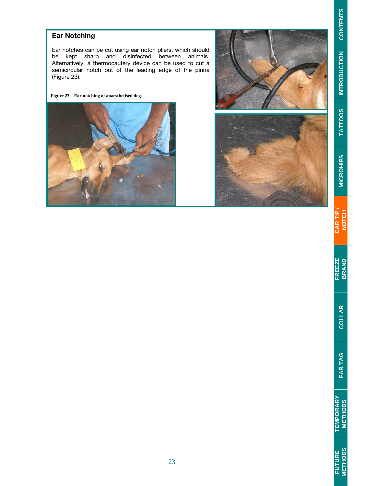#### Ear Notching

Ear notches can be cut using ear notch pliers, which should be kept sharp and disinfected between animals. Alternatively, a thermocautery device can be used to cut a semicircular notch out of the leading edge of the pinna (Figure 23).

**Figure 23. Ear notching of anaesthetised dog.** 





EAR TIP /<br>NOTCH

**INTRODUCTION TATTOOS**

**TATTOOS** 

INTRODUCTION CONTENTS

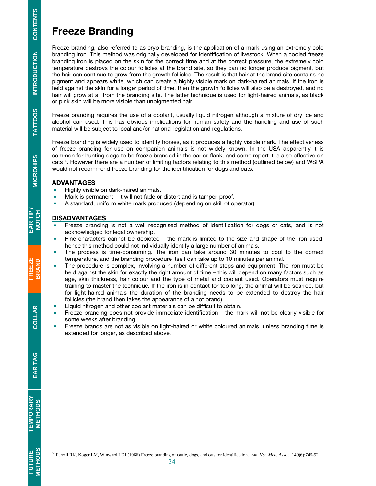## Freeze Branding

Freeze branding, also referred to as cryo-branding, is the application of a mark using an extremely cold branding iron. This method was originally developed for identification of livestock. When a cooled freeze branding iron is placed on the skin for the correct time and at the correct pressure, the extremely cold temperature destroys the colour follicles at the brand site, so they can no longer produce pigment, but the hair can continue to grow from the growth follicles. The result is that hair at the brand site contains no pigment and appears white, which can create a highly visible mark on dark-haired animals. If the iron is held against the skin for a longer period of time, then the growth follicles will also be a destroyed, and no hair will grow at all from the branding site. The latter technique is used for light-haired animals, as black or pink skin will be more visible than unpigmented hair.

Freeze branding requires the use of a coolant, usually liquid nitrogen although a mixture of dry ice and alcohol can used. This has obvious implications for human safety and the handling and use of such material will be subject to local and/or national legislation and regulations.

Freeze branding is widely used to identify horses, as it produces a highly visible mark. The effectiveness of freeze branding for use on companion animals is not widely known. In the USA apparently it is common for hunting dogs to be freeze branded in the ear or flank, and some report it is also effective on cats14. However there are a number of limiting factors relating to this method (outlined below) and WSPA would not recommend freeze branding for the identification for dogs and cats.

#### ADVANTAGES

- Highly visible on dark-haired animals.
- **Mark is permanent it will not fade or distort and is tamper-proof.** 
	- A standard, uniform white mark produced (depending on skill of operator).

#### **DISADVANTAGES**

- Freeze branding is not a well recognised method of identification for dogs or cats, and is not acknowledged for legal ownership.
- Fine characters cannot be depicted the mark is limited to the size and shape of the iron used, hence this method could not individually identify a large number of animals.
- The process is time-consuming. The iron can take around 30 minutes to cool to the correct temperature, and the branding procedure itself can take up to 10 minutes per animal.
- The procedure is complex, involving a number of different steps and equipment. The iron must be held against the skin for exactly the right amount of time – this will depend on many factors such as age, skin thickness, hair colour and the type of metal and coolant used. Operators must require training to master the technique. If the iron is in contact for too long, the animal will be scarred, but for light-haired animals the duration of the branding needs to be extended to destroy the hair follicles (the brand then takes the appearance of a hot brand).
- **EXECTED Liquid nitrogen and other coolant materials can be difficult to obtain.**
- **Freeze branding does not provide immediate identification the mark will not be clearly visible for** some weeks after branding.
- **Freeze brands are not as visible on light-haired or white coloured animals, unless branding time is** extended for longer, as described above.

**TATTOOS** 

COLLAR

EAR TAG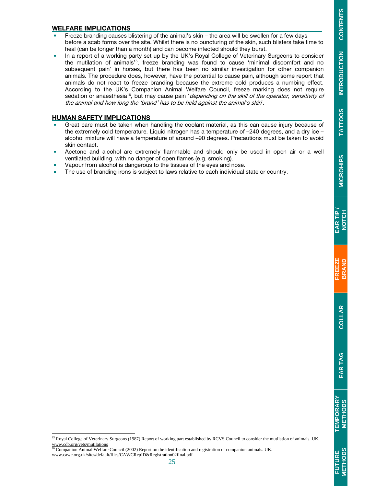# INTRODUCTION CONTENTS S | TATTOOS ||NTRODUCTION | CONTENTS **INTRODUCTION TATTOOS**

**FUTURE**<br>METHODS

#### WELFARE IMPLICATIONS

- Freeze branding causes blistering of the animal's skin the area will be swollen for a few days before a scab forms over the site. Whilst there is no puncturing of the skin, such blisters take time to heal (can be longer than a month) and can become infected should they burst.
- In a report of a working party set up by the UK's Royal College of Veterinary Surgeons to consider the mutilation of animals<sup>15</sup>, freeze branding was found to cause 'minimal discomfort and no subsequent pain' in horses, but there has been no similar investigation for other companion animals. The procedure does, however, have the potential to cause pain, although some report that animals do not react to freeze branding because the extreme cold produces a numbing effect. According to the UK's Companion Animal Welfare Council, freeze marking does not require sedation or anaesthesia<sup>16</sup>, but may cause pain 'depending on the skill of the operator, sensitivity of the animal and how long the 'brand' has to be held against the animal's skin'.

#### HUMAN SAFETY IMPLICATIONS

- Great care must be taken when handling the coolant material, as this can cause injury because of the extremely cold temperature. Liquid nitrogen has a temperature of –240 degrees, and a dry ice – alcohol mixture will have a temperature of around –90 degrees. Precautions must be taken to avoid skin contact.
- Acetone and alcohol are extremely flammable and should only be used in open air or a well ventilated building, with no danger of open flames (e.g. smoking).
- Vapour from alcohol is dangerous to the tissues of the eyes and nose.
- The use of branding irons is subject to laws relative to each individual state or country.

<sup>&</sup>lt;sup>15</sup> Royal College of Veterinary Surgeons (1987) Report of working part established by RCVS Council to consider the mutilation of animals. UK. www.cdb.org/vets/mutilations<br><sup>16</sup> Companion Animal Welfare Council (2002) Report on the identification and registration of companion animals. UK.

www.cawc.org.uk/sites/default/files/CAWCRepID&Registration02final.pdf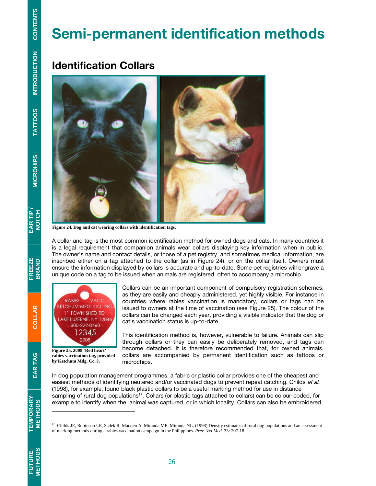# Semi-permanent identification methods

## Identification Collars



**Figure 24. Dog and cat wearing collars with identification tags.**

A collar and tag is the most common identification method for owned dogs and cats. In many countries it is a legal requirement that companion animals wear collars displaying key information when in public. The owner's name and contact details, or those of a pet registry, and sometimes medical information, are inscribed either on a tag attached to the collar (as in Figure 24), or on the collar itself. Owners must ensure the information displayed by collars is accurate and up-to-date. Some pet registries will engrave a unique code on a tag to be issued when animals are registered, often to accompany a microchip.



**Figure 25. 2008 'Red heart' rabies vaccination tag, provided by Ketchum Mdg. Co.®.** 

Collars can be an important component of compulsory registration schemes, as they are easily and cheaply administered, yet highly visible. For instance in countries where rabies vaccination is mandatory, collars or tags can be issued to owners at the time of vaccination (see Figure 25). The colour of the collars can be changed each year, providing a visible indicator that the dog or cat's vaccination status is up-to-date.

This identification method is, however, vulnerable to failure. Animals can slip through collars or they can easily be deliberately removed, and tags can become detached. It is therefore recommended that, for owned animals, collars are accompanied by permanent identification such as tattoos or microchips.

In dog population management programmes, a fabric or plastic collar provides one of the cheapest and easiest methods of identifying neutered and/or vaccinated dogs to prevent repeat catching. Childs et al. (1998), for example, found black plastic collars to be a useful marking method for use in distance sampling of rural dog populations<sup>17</sup>. Collars (or plastic tags attached to collars) can be colour-coded, for example to identify when the animal was captured, or in which locality. Collars can also be embroidered

EAR TAG

**TEMPORARY<br>METHODS** 

<sup>&</sup>lt;sup>17</sup> Childs JE, Robinson LE, Sadek R, Madden A, Miranda ME, Miranda NL. (1998) Density estimates of rural dog populations and an assessment of marking methods during a rabies vaccination campaign in the Philippines. *Prev. Vet Med*. 33: 207-18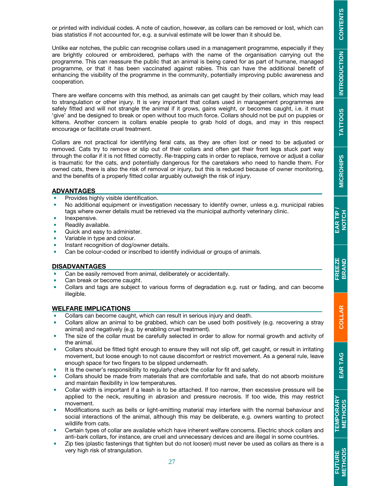COLLAR

or printed with individual codes. A note of caution, however, as collars can be removed or lost, which can bias statistics if not accounted for, e.g. a survival estimate will be lower than it should be.

Unlike ear notches, the public can recognise collars used in a management programme, especially if they are brightly coloured or embroidered, perhaps with the name of the organisation carrying out the programme. This can reassure the public that an animal is being cared for as part of humane, managed programme, or that it has been vaccinated against rabies. This can have the additional benefit of enhancing the visibility of the programme in the community, potentially improving public awareness and cooperation.

There are welfare concerns with this method, as animals can get caught by their collars, which may lead to strangulation or other injury. It is very important that collars used in management programmes are safely fitted and will not strangle the animal if it grows, gains weight, or becomes caught, i.e. it must 'give' and be designed to break or open without too much force. Collars should not be put on puppies or kittens. Another concern is collars enable people to grab hold of dogs, and may in this respect encourage or facilitate cruel treatment.

Collars are not practical for identifying feral cats, as they are often lost or need to be adjusted or removed. Cats try to remove or slip out of their collars and often get their front legs stuck part way through the collar if it is not fitted correctly. Re-trapping cats in order to replace, remove or adjust a collar is traumatic for the cats, and potentially dangerous for the caretakers who need to handle them. For owned cats, there is also the risk of removal or injury, but this is reduced because of owner monitoring, and the benefits of a properly fitted collar arguably outweigh the risk of injury.

#### ADVANTAGES

- Provides highly visible identification.
- No additional equipment or investigation necessary to identify owner, unless e.g. municipal rabies tags where owner details must be retrieved via the municipal authority veterinary clinic.
- Inexpensive.
- Readily available.
- **Quick and easy to administer.**
- Variable in type and colour.
- Instant recognition of dog/owner details.
- Can be colour-coded or inscribed to identify individual or groups of animals.

#### DISADVANTAGES

- Can be easily removed from animal, deliberately or accidentally.
- Can break or become caught.
- Collars and tags are subject to various forms of degradation e.g. rust or fading, and can become illegible.

#### WELFARE IMPLICATIONS

- Collars can become caught, which can result in serious injury and death.
- Collars allow an animal to be grabbed, which can be used both positively (e.g. recovering a stray animal) and negatively (e.g. by enabling cruel treatment).
- The size of the collar must be carefully selected in order to allow for normal growth and activity of the animal.
- Collars should be fitted tight enough to ensure they will not slip off, get caught, or result in irritating movement, but loose enough to not cause discomfort or restrict movement. As a general rule, leave enough space for two fingers to be slipped underneath.
- It is the owner's responsibility to regularly check the collar for fit and safety.
- Collars should be made from materials that are comfortable and safe, that do not absorb moisture and maintain flexibility in low temperatures.
- Collar width is important if a leash is to be attached. If too narrow, then excessive pressure will be applied to the neck, resulting in abrasion and pressure necrosis. If too wide, this may restrict movement.
- Modifications such as bells or light-emitting material may interfere with the normal behaviour and social interactions of the animal, although this may be deliberate, e.g. owners wanting to protect wildlife from cats.
- Certain types of collar are available which have inherent welfare concerns. Electric shock collars and anti-bark collars, for instance, are cruel and unnecessary devices and are illegal in some countries.
- **EXECT** Zip ties (plastic fastenings that tighten but do not loosen) must never be used as collars as there is a very high risk of strangulation.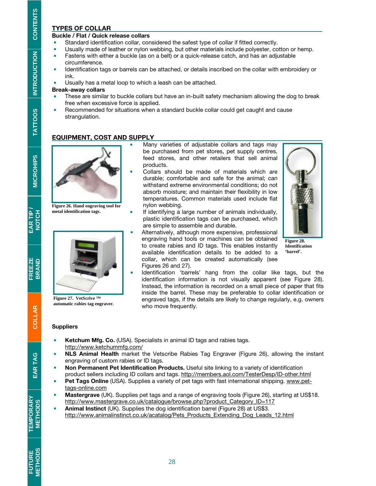#### TYPES OF COLLAR

#### Buckle / Flat / Quick release collars

- Standard identification collar, considered the safest type of collar if fitted correctly.
- Usually made of leather or nylon webbing, but other materials include polyester, cotton or hemp.
- **Fastens with either a buckle (as on a belt) or a quick-release catch, and has an adjustable** circumference.
- **IDENTIFY IDENTIFY IDENT** Identification tags or barrels can be attached, or details inscribed on the collar with embroidery or ink.

**Usually has a metal loop to which a leash can be attached.** 

#### Break-away collars

- These are similar to buckle collars but have an in-built safety mechanism allowing the dog to break free when excessive force is applied.
- **Recommended for situations when a standard buckle collar could get caught and cause** strangulation.

#### EQUIPMENT, COST AND SUPPLY



**Figure 26. Hand engraving tool for metal identification tags.** 



**Figure 27. VetScrive ™ automatic rabies tag engraver.** 

- Many varieties of adjustable collars and tags may be purchased from pet stores, pet supply centres, feed stores, and other retailers that sell animal products.
- Collars should be made of materials which are durable; comfortable and safe for the animal; can withstand extreme environmental conditions; do not absorb moisture; and maintain their flexibility in low temperatures. Common materials used include flat nylon webbing.
- **If identifying a large number of animals individually,** plastic identification tags can be purchased, which are simple to assemble and durable.
- Alternatively, although more expensive, professional engraving hand tools or machines can be obtained to create rabies and ID tags. This enables instantly available identification details to be added to a collar, which can be created automatically (see Figures 26 and 27).



**Figure 28. Identification 'barrel'.** 

 Identification 'barrels' hang from the collar like tags, but the identification information is not visually apparent (see Figure 28). Instead, the information is recorded on a small piece of paper that fits inside the barrel. These may be preferable to collar identification or engraved tags, if the details are likely to change regularly, e.g. owners who move frequently.

#### **Suppliers**

- Ketchum Mfg. Co. (USA). Specialists in animal ID tags and rabies tags. http://www.ketchummfg.com/
- **NLS Animal Health** market the Vetscribe Rabies Tag Engraver (Figure 26), allowing the instant engraving of custom rabies or ID tags.
- **Non Permanent Pet Identification Products.** Useful site linking to a variety of identification product sellers including ID collars and tags. http://members.aol.com/TesterDesp/ID-other.html
- **Pet Tags Online** (USA). Supplies a variety of pet tags with fast international shipping. www.pettags-online.com
- **Mastergrave** (UK). Supplies pet tags and a range of engraving tools (Figure 26), starting at US\$18. http://www.mastergrave.co.uk/catalogue/browse.php?product\_Category\_ID=117
- Animal Instinct (UK). Supplies the dog identification barrel (Figure 28) at US\$3. http://www.animalinstinct.co.uk/acatalog/Pets\_Products\_Extending\_Dog\_Leads\_12.html

**FREEZE**<br>BRAND

EAR TAG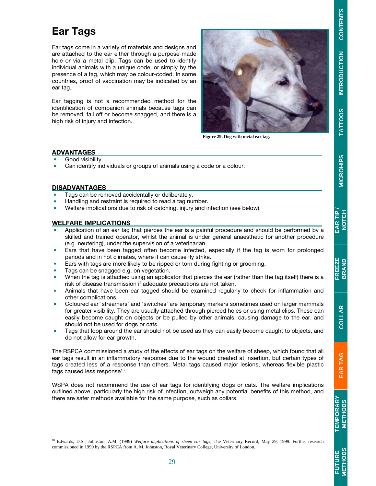# Ear Tags

Ear tags come in a variety of materials and designs and are attached to the ear either through a purpose-made hole or via a metal clip. Tags can be used to identify individual animals with a unique code, or simply by the presence of a tag, which may be colour-coded. In some countries, proof of vaccination may be indicated by an ear tag.

Ear tagging is not a recommended method for the identification of companion animals because tags can be removed, fall off or become snagged, and there is a high risk of injury and infection.



**Figure 29. Dog with metal ear tag.** 

#### ADVANTAGES

- Good visibility.
- Can identify individuals or groups of animals using a code or a colour.

#### DISADVANTAGES

-

- Tags can be removed accidentally or deliberately.
- Handling and restraint is required to read a tag number.
- Welfare implications due to risk of catching, injury and infection (see below).

#### WELFARE IMPLICATIONS

- Application of an ear tag that pierces the ear is a painful procedure and should be performed by a skilled and trained operator, whilst the animal is under general anaesthetic for another procedure (e.g. neutering), under the supervision of a veterinarian.
- **Ears that have been tagged often become infected, especially if the tag is worn for prolonged** periods and in hot climates, where it can cause fly strike.
- **Ears with tags are more likely to be ripped or torn during fighting or grooming.**
- Tags can be snagged e.g. on vegetation.
- When the tag is attached using an applicator that pierces the ear (rather than the tag itself) there is a risk of disease transmission if adequate precautions are not taken.
- Animals that have been ear tagged should be examined regularly to check for inflammation and other complications.
- **Coloured ear 'streamers' and 'switches' are temporary markers sometimes used on larger mammals** for greater visibility. They are usually attached through pierced holes or using metal clips. These can easily become caught on objects or be pulled by other animals, causing damage to the ear, and should not be used for dogs or cats.
- Tags that loop around the ear should not be used as they can easily become caught to objects, and do not allow for ear growth.

The RSPCA commissioned a study of the effects of ear tags on the welfare of sheep, which found that all ear tags result in an inflammatory response due to the wound created at insertion, but certain types of tags created less of a response than others. Metal tags caused major lesions, whereas flexible plastic tags caused less response<sup>18</sup>.

WSPA does not recommend the use of ear tags for identifying dogs or cats. The welfare implications outlined above, particularly the high risk of infection, outweigh any potential benefits of this method, and there are safer methods available for the same purpose, such as collars.

<sup>18</sup> Edwards, D.S.; Johnston, A.M. (1999) Welfare implications of sheep ear tags, The Veterinary Record, May 29, 1999. Further research

**TATTOOS** 

commissioned in 1999 by the RSPCA from A. M. Johnston, Royal Veterinary College, University of London.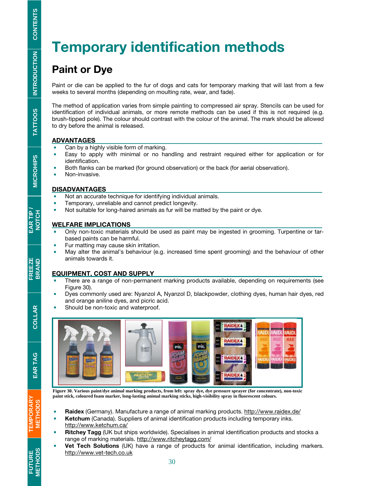# Temporary identification methods

# i, Paint or Dye

Paint or die can be applied to the fur of dogs and cats for temporary marking that will last from a few weeks to several months (depending on moulting rate, wear, and fade).

The method of application varies from simple painting to compressed air spray. Stencils can be used for identification of individual animals, or more remote methods can be used if this is not required (e.g. brush-tipped pole). The colour should contrast with the colour of the animal. The mark should be allowed to dry before the animal is released.

#### ADVANTAGES

- Can by a highly visible form of marking.
- Easy to apply with minimal or no handling and restraint required either for application or for identification.
- Both flanks can be marked (for ground observation) or the back (for aerial observation).
- **Non-invasive.**

#### DISADVANTAGES

- Not an accurate technique for identifying individual animals.
- Temporary, unreliable and cannot predict longevity.
- Not suitable for long-haired animals as fur will be matted by the paint or dye.

#### WELFARE IMPLICATIONS

- Only non-toxic materials should be used as paint may be ingested in grooming. Turpentine or tarbased paints can be harmful.
- Fur matting may cause skin irritation.
- May alter the animal's behaviour (e.g. increased time spent grooming) and the behaviour of other animals towards it.

#### EQUIPMENT, COST AND SUPPLY

- There are a range of non-permanent marking products available, depending on requirements (see Figure 30).
- Dyes commonly used are: Nyanzol A, Nyanzol D, blackpowder, clothing dyes, human hair dyes, red and orange aniline dyes, and picric acid.
- Should be non-toxic and waterproof.



**Figure 30. Various paint/dye animal marking products, from left: spray dye, dye pressure sprayer (for concentrate), non-toxic paint stick, coloured foam marker, long-lasting animal marking sticks, high-visibility spray in fluorescent colours.** 

- Raidex (Germany). Manufacture a range of animal marking products. http://www.raidex.de/
- **Ketchum** (Canada). Suppliers of animal identification products including temporary inks. http://www.ketchum.ca/

30

- **Ritchey Tagg (UK** but ships worldwide). Specialises in animal identification products and stocks a range of marking materials. http://www.ritcheytagg.com/
- Vet Tech Solutions (UK) have a range of products for animal identification, including markers. http://www.vet-tech.co.uk

**TEMPORARY<br>METHODS** 

**FUTURE<br>METHODS**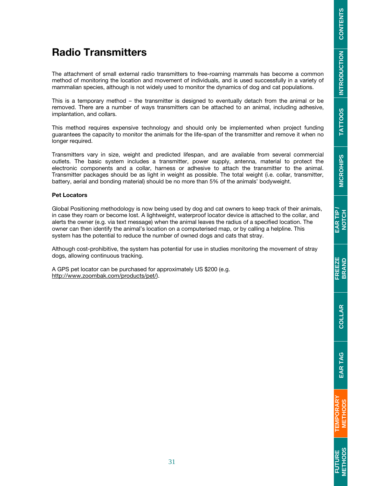# **FUTURE**<br>METHODS

# Radio Transmitters

The attachment of small external radio transmitters to free-roaming mammals has become a common method of monitoring the location and movement of individuals, and is used successfully in a variety of mammalian species, although is not widely used to monitor the dynamics of dog and cat populations.

This is a temporary method – the transmitter is designed to eventually detach from the animal or be removed. There are a number of ways transmitters can be attached to an animal, including adhesive, implantation, and collars.

This method requires expensive technology and should only be implemented when project funding guarantees the capacity to monitor the animals for the life-span of the transmitter and remove it when no longer required.

Transmitters vary in size, weight and predicted lifespan, and are available from several commercial outlets. The basic system includes a transmitter, power supply, antenna, material to protect the electronic components and a collar, harness or adhesive to attach the transmitter to the animal. Transmitter packages should be as light in weight as possible. The total weight (i.e. collar, transmitter, battery, aerial and bonding material) should be no more than 5% of the animals' bodyweight.

#### Pet Locators

Global Positioning methodology is now being used by dog and cat owners to keep track of their animals, in case they roam or become lost. A lightweight, waterproof locator device is attached to the collar, and alerts the owner (e.g. via text message) when the animal leaves the radius of a specified location. The owner can then identify the animal's location on a computerised map, or by calling a helpline. This system has the potential to reduce the number of owned dogs and cats that stray.

Although cost-prohibitive, the system has potential for use in studies monitoring the movement of stray dogs, allowing continuous tracking.

A GPS pet locator can be purchased for approximately US \$200 (e.g. http://www.zoombak.com/products/pet/).